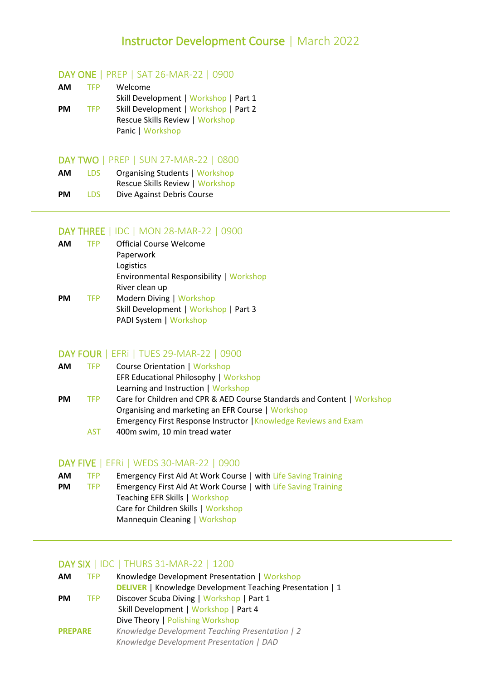## Instructor Development Course | March 2022

#### DAY ONE | PREP | SAT 26-MAR-22 | 0900

| AM        | <b>TFP</b> | Welcome                               |
|-----------|------------|---------------------------------------|
|           |            | Skill Development   Workshop   Part 1 |
| <b>PM</b> | <b>TFP</b> | Skill Development   Workshop   Part 2 |
|           |            | Rescue Skills Review   Workshop       |
|           |            | Panic   Workshop                      |

#### DAY TWO | PREP | SUN 27-MAR-22 | 0800

| АM | <b>LDS</b> | <b>Organising Students   Workshop</b> |
|----|------------|---------------------------------------|
|    |            | Rescue Skills Review   Workshop       |
| PM | LDS.       | Dive Against Debris Course            |

## DAY THREE | IDC | MON 28-MAR-22 | 0900

| <b>AM</b> | <b>TFP</b> | Official Course Welcome                 |
|-----------|------------|-----------------------------------------|
|           |            | Paperwork                               |
|           |            | Logistics                               |
|           |            | Environmental Responsibility   Workshop |
|           |            | River clean up                          |
| <b>PM</b> | <b>TFP</b> | Modern Diving   Workshop                |
|           |            | Skill Development   Workshop   Part 3   |
|           |            | PADI System   Workshop                  |

#### DAY FOUR | EFRi | TUES 29-MAR-22 | 0900

| ΑМ | <b>TFP</b> | <b>Course Orientation   Workshop</b>         |
|----|------------|----------------------------------------------|
|    |            | <b>EFR Educational Philosophy   Workshop</b> |
|    |            | Learning and Instruction   Workshop          |

**PM** TFP Care for Children and CPR & AED Course Standards and Content | Workshop Organising and marketing an EFR Course | Workshop Emergency First Response Instructor | Knowledge Reviews and Exam AST 400m swim, 10 min tread water

#### DAY FIVE | EFRi | WEDS 30-MAR-22 | 0900

| AМ | TFP. | Emergency First Aid At Work Course   with Life Saving Training |  |
|----|------|----------------------------------------------------------------|--|
|----|------|----------------------------------------------------------------|--|

**PM** TFP Emergency First Aid At Work Course | with Life Saving Training Teaching EFR Skills | Workshop Care for Children Skills | Workshop Mannequin Cleaning | Workshop

#### DAY SIX | IDC | THURS 31-MAR-22 | 1200

| <b>AM</b>      | <b>TFP</b> | Knowledge Development Presentation   Workshop                    |
|----------------|------------|------------------------------------------------------------------|
|                |            | <b>DELIVER</b>   Knowledge Development Teaching Presentation   1 |
| <b>PM</b>      | <b>TFP</b> | Discover Scuba Diving   Workshop   Part 1                        |
|                |            | Skill Development   Workshop   Part 4                            |
|                |            | Dive Theory   Polishing Workshop                                 |
| <b>PREPARE</b> |            | Knowledge Development Teaching Presentation   2                  |
|                |            | Knowledge Development Presentation   DAD                         |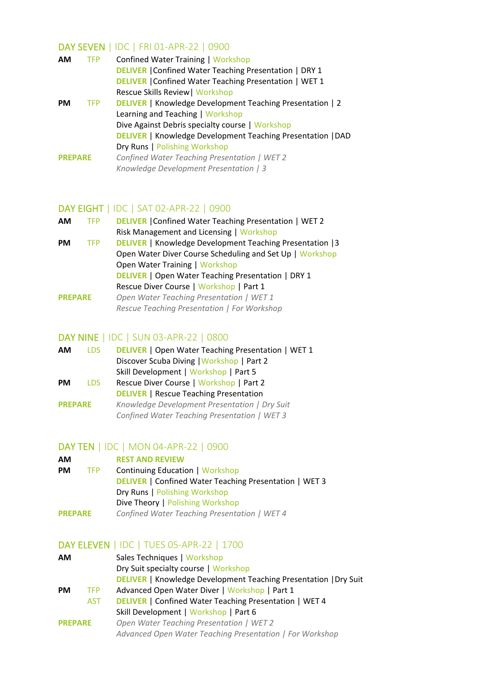## DAY SEVEN | IDC | FRI 01-APR-22 | 0900

| <b>AM</b>      | <b>TFP</b> | <b>Confined Water Training   Workshop</b>                          |
|----------------|------------|--------------------------------------------------------------------|
|                |            | <b>DELIVER</b>   Confined Water Teaching Presentation   DRY 1      |
|                |            | <b>DELIVER</b>   Confined Water Teaching Presentation   WET 1      |
|                |            | Rescue Skills Review   Workshop                                    |
| <b>PM</b>      | <b>TFP</b> | <b>DELIVER</b>   Knowledge Development Teaching Presentation   2   |
|                |            | Learning and Teaching   Workshop                                   |
|                |            | Dive Against Debris specialty course   Workshop                    |
|                |            | <b>DELIVER</b>   Knowledge Development Teaching Presentation   DAD |
|                |            | Dry Runs   Polishing Workshop                                      |
| <b>PREPARE</b> |            | Confined Water Teaching Presentation   WET 2                       |
|                |            | Knowledge Development Presentation   3                             |
|                |            |                                                                    |

## DAY EIGHT | IDC | SAT 02-APR-22 | 0900

| <b>AM</b>      | <b>TFP</b> | <b>DELIVER</b>   Confined Water Teaching Presentation   WET 2    |
|----------------|------------|------------------------------------------------------------------|
|                |            | Risk Management and Licensing   Workshop                         |
| <b>PM</b>      | <b>TFP</b> | <b>DELIVER</b>   Knowledge Development Teaching Presentation   3 |
|                |            | Open Water Diver Course Scheduling and Set Up   Workshop         |
|                |            | <b>Open Water Training   Workshop</b>                            |
|                |            | <b>DELIVER</b>   Open Water Teaching Presentation   DRY 1        |
|                |            | Rescue Diver Course   Workshop   Part 1                          |
| <b>PREPARE</b> |            | Open Water Teaching Presentation   WET 1                         |
|                |            | Rescue Teaching Presentation   For Workshop                      |
|                |            |                                                                  |

#### DAY NINE | IDC | SUN 03-APR-22 | 0800

| ΑM             | <b>LDS</b> | <b>DELIVER</b>   Open Water Teaching Presentation   WET 1 |
|----------------|------------|-----------------------------------------------------------|
|                |            | Discover Scuba Diving   Workshop   Part 2                 |
|                |            | Skill Development   Workshop   Part 5                     |
| PМ             | LDS.       | Rescue Diver Course   Workshop   Part 2                   |
|                |            | <b>DELIVER</b>   Rescue Teaching Presentation             |
| <b>PREPARE</b> |            | Knowledge Development Presentation   Dry Suit             |
|                |            | Confined Water Teaching Presentation   WET 3              |

# **DAY TEN** | IDC | MON 04-APR-22 | 0900

| АM             |            | <b>REST AND REVIEW</b>                                        |
|----------------|------------|---------------------------------------------------------------|
| <b>PM</b>      | <b>TFP</b> | <b>Continuing Education   Workshop</b>                        |
|                |            | <b>DELIVER</b>   Confined Water Teaching Presentation   WET 3 |
|                |            | Dry Runs   Polishing Workshop                                 |
|                |            | Dive Theory   Polishing Workshop                              |
| <b>PREPARE</b> |            | Confined Water Teaching Presentation   WET 4                  |

## DAY ELEVEN | IDC | TUES 05-APR-22 | 1700

| ΑM             |            | Sales Techniques   Workshop                                             |
|----------------|------------|-------------------------------------------------------------------------|
|                |            | Dry Suit specialty course   Workshop                                    |
|                |            | <b>DELIVER</b>   Knowledge Development Teaching Presentation   Dry Suit |
| PM             | <b>TFP</b> | Advanced Open Water Diver   Workshop   Part 1                           |
|                | <b>AST</b> | <b>DELIVER</b>   Confined Water Teaching Presentation   WET 4           |
|                |            | Skill Development   Workshop   Part 6                                   |
| <b>PREPARE</b> |            | Open Water Teaching Presentation   WET 2                                |
|                |            | Advanced Open Water Teaching Presentation   For Workshop                |